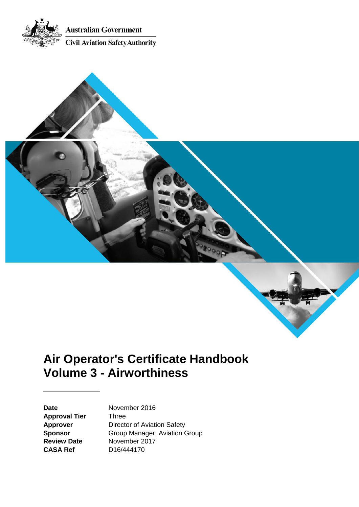



# **Air Operator's Certificate Handbook Volume 3 - Airworthiness**

**Approval Tier** Three **CASA Ref** D16/444170

Date **November 2016 Approver** Director of Aviation Safety **Sponsor** Group Manager, Aviation Group **Review Date** November 2017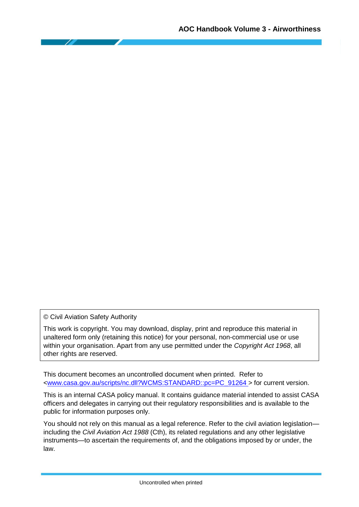© Civil Aviation Safety Authority

This work is copyright. You may download, display, print and reproduce this material in unaltered form only (retaining this notice) for your personal, non-commercial use or use within your organisation. Apart from any use permitted under the *Copyright Act 1968*, all other rights are reserved.

This document becomes an uncontrolled document when printed. Refer to [<www.casa.gov.au/scripts/nc.dll?WCMS:STANDARD::pc=PC\\_91264 >](http://casa.gov.au/scripts/nc.dll?WCMS:STANDARD::pc=PC_91264%20) for current version.

This is an internal CASA policy manual. It contains guidance material intended to assist CASA officers and delegates in carrying out their regulatory responsibilities and is available to the public for information purposes only.

You should not rely on this manual as a legal reference. Refer to the civil aviation legislation including the *Civil Aviation Act 1988* (Cth), its related regulations and any other legislative instruments—to ascertain the requirements of, and the obligations imposed by or under, the law.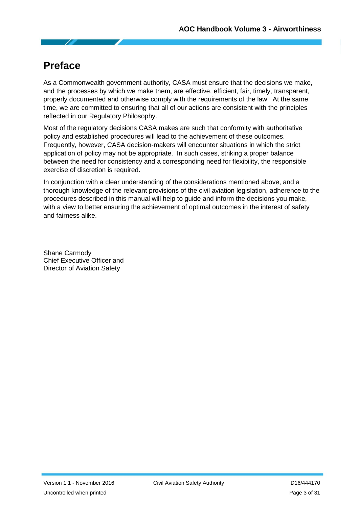# <span id="page-2-0"></span>**Preface**

As a Commonwealth government authority, CASA must ensure that the decisions we make, and the processes by which we make them, are effective, efficient, fair, timely, transparent, properly documented and otherwise comply with the requirements of the law. At the same time, we are committed to ensuring that all of our actions are consistent with the principles reflected in our Regulatory Philosophy.

Most of the regulatory decisions CASA makes are such that conformity with authoritative policy and established procedures will lead to the achievement of these outcomes. Frequently, however, CASA decision-makers will encounter situations in which the strict application of policy may not be appropriate. In such cases, striking a proper balance between the need for consistency and a corresponding need for flexibility, the responsible exercise of discretion is required.

In conjunction with a clear understanding of the considerations mentioned above, and a thorough knowledge of the relevant provisions of the civil aviation legislation, adherence to the procedures described in this manual will help to guide and inform the decisions you make, with a view to better ensuring the achievement of optimal outcomes in the interest of safety and fairness alike.

Shane Carmody Chief Executive Officer and Director of Aviation Safety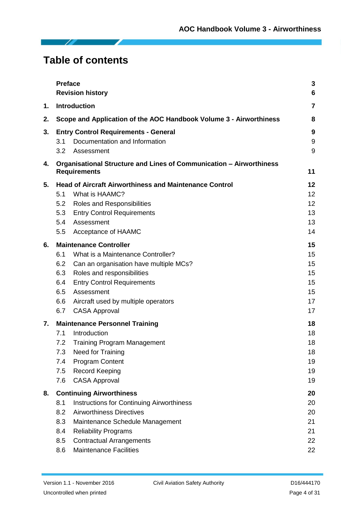# **Table of contents**

|    | <b>Preface</b>                                                | <b>Revision history</b>                                                                    | 3<br>6 |  |  |
|----|---------------------------------------------------------------|--------------------------------------------------------------------------------------------|--------|--|--|
| 1. |                                                               | Introduction                                                                               | 7      |  |  |
| 2. |                                                               | Scope and Application of the AOC Handbook Volume 3 - Airworthiness                         | 8      |  |  |
| 3. | <b>Entry Control Requirements - General</b>                   |                                                                                            |        |  |  |
|    | 3.1                                                           | Documentation and Information                                                              | 9      |  |  |
|    | 3.2                                                           | Assessment                                                                                 | 9      |  |  |
| 4. |                                                               | Organisational Structure and Lines of Communication - Airworthiness<br><b>Requirements</b> | 11     |  |  |
| 5. | <b>Head of Aircraft Airworthiness and Maintenance Control</b> |                                                                                            |        |  |  |
|    | 5.1                                                           | What is HAAMC?                                                                             | 12     |  |  |
|    | 5.2                                                           | Roles and Responsibilities                                                                 | 12     |  |  |
|    | 5.3                                                           | <b>Entry Control Requirements</b>                                                          | 13     |  |  |
|    | 5.4                                                           | Assessment                                                                                 | 13     |  |  |
|    | 5.5                                                           | Acceptance of HAAMC                                                                        | 14     |  |  |
| 6. | <b>Maintenance Controller</b>                                 |                                                                                            |        |  |  |
|    | 6.1                                                           | What is a Maintenance Controller?                                                          | 15     |  |  |
|    | 6.2                                                           | Can an organisation have multiple MCs?                                                     | 15     |  |  |
|    | 6.3                                                           | Roles and responsibilities                                                                 | 15     |  |  |
|    | 6.4                                                           | <b>Entry Control Requirements</b>                                                          | 15     |  |  |
|    | 6.5                                                           | Assessment                                                                                 | 15     |  |  |
|    | 6.6                                                           | Aircraft used by multiple operators                                                        | 17     |  |  |
|    | 6.7                                                           | <b>CASA Approval</b>                                                                       | 17     |  |  |
| 7. | <b>Maintenance Personnel Training</b>                         |                                                                                            |        |  |  |
|    | 7.1                                                           | Introduction                                                                               | 18     |  |  |
|    | 7.2                                                           | <b>Training Program Management</b>                                                         | 18     |  |  |
|    | 7.3                                                           | Need for Training                                                                          | 18     |  |  |
|    | 7.4                                                           | <b>Program Content</b>                                                                     | 19     |  |  |
|    | 7.5                                                           | <b>Record Keeping</b>                                                                      | 19     |  |  |
|    | 7.6                                                           | <b>CASA Approval</b>                                                                       | 19     |  |  |
| 8. | <b>Continuing Airworthiness</b>                               |                                                                                            |        |  |  |
|    | 8.1                                                           | <b>Instructions for Continuing Airworthiness</b>                                           | 20     |  |  |
|    | 8.2                                                           | <b>Airworthiness Directives</b>                                                            | 20     |  |  |
|    | 8.3                                                           | Maintenance Schedule Management                                                            | 21     |  |  |
|    | 8.4                                                           | <b>Reliability Programs</b>                                                                | 21     |  |  |
|    | 8.5                                                           | <b>Contractual Arrangements</b>                                                            | 22     |  |  |
|    | 8.6                                                           | <b>Maintenance Facilities</b>                                                              | 22     |  |  |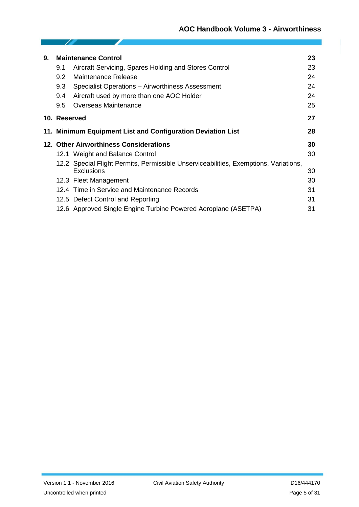| 9. | <b>Maintenance Control</b> |                                                                                      |    |  |
|----|----------------------------|--------------------------------------------------------------------------------------|----|--|
|    | 9.1                        | Aircraft Servicing, Spares Holding and Stores Control                                | 23 |  |
|    | 9.2                        | Maintenance Release                                                                  | 24 |  |
|    | 9.3                        | Specialist Operations - Airworthiness Assessment                                     | 24 |  |
|    | 9.4                        | Aircraft used by more than one AOC Holder                                            | 24 |  |
|    | 9.5                        | Overseas Maintenance                                                                 | 25 |  |
|    | 10. Reserved               |                                                                                      | 27 |  |
|    |                            | 11. Minimum Equipment List and Configuration Deviation List                          | 28 |  |
|    |                            | 12. Other Airworthiness Considerations                                               | 30 |  |
|    |                            | 12.1 Weight and Balance Control                                                      | 30 |  |
|    |                            | 12.2 Special Flight Permits, Permissible Unserviceabilities, Exemptions, Variations, |    |  |
|    |                            | Exclusions                                                                           | 30 |  |
|    |                            | 12.3 Fleet Management                                                                | 30 |  |
|    |                            | 12.4 Time in Service and Maintenance Records                                         | 31 |  |
|    |                            | 12.5 Defect Control and Reporting                                                    | 31 |  |
|    |                            | 12.6 Approved Single Engine Turbine Powered Aeroplane (ASETPA)                       | 31 |  |

- To

◢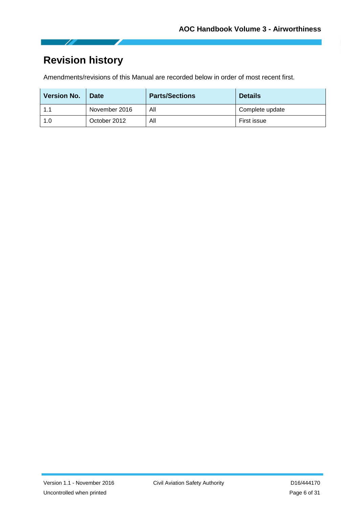# <span id="page-5-0"></span>**Revision history**

Z

Amendments/revisions of this Manual are recorded below in order of most recent first.

| <b>Version No.</b> | <b>Date</b>   | <b>Parts/Sections</b> | <b>Details</b>  |
|--------------------|---------------|-----------------------|-----------------|
| 1.1                | November 2016 | All                   | Complete update |
| 1.0                | October 2012  | All                   | First issue     |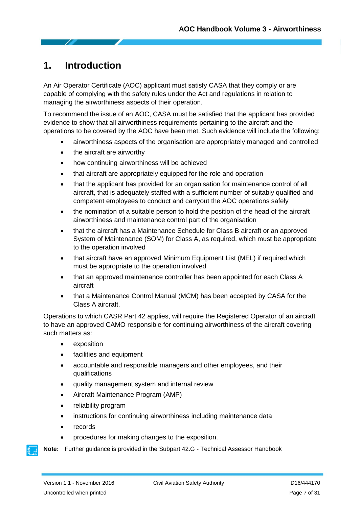# <span id="page-6-0"></span>**1. Introduction**

An Air Operator Certificate (AOC) applicant must satisfy CASA that they comply or are capable of complying with the safety rules under the Act and regulations in relation to managing the airworthiness aspects of their operation.

To recommend the issue of an AOC, CASA must be satisfied that the applicant has provided evidence to show that all airworthiness requirements pertaining to the aircraft and the operations to be covered by the AOC have been met. Such evidence will include the following:

- airworthiness aspects of the organisation are appropriately managed and controlled
- the aircraft are airworthy
- how continuing airworthiness will be achieved
- that aircraft are appropriately equipped for the role and operation
- that the applicant has provided for an organisation for maintenance control of all aircraft, that is adequately staffed with a sufficient number of suitably qualified and competent employees to conduct and carryout the AOC operations safely
- the nomination of a suitable person to hold the position of the head of the aircraft airworthiness and maintenance control part of the organisation
- that the aircraft has a Maintenance Schedule for Class B aircraft or an approved System of Maintenance (SOM) for Class A, as required, which must be appropriate to the operation involved
- that aircraft have an approved Minimum Equipment List (MEL) if required which must be appropriate to the operation involved
- that an approved maintenance controller has been appointed for each Class A aircraft
- that a Maintenance Control Manual (MCM) has been accepted by CASA for the Class A aircraft.

Operations to which CASR Part 42 applies, will require the Registered Operator of an aircraft to have an approved CAMO responsible for continuing airworthiness of the aircraft covering such matters as:

- exposition
- facilities and equipment
- accountable and responsible managers and other employees, and their qualifications
- quality management system and internal review
- Aircraft Maintenance Program (AMP)
- reliability program
- instructions for continuing airworthiness including maintenance data
- records
- procedures for making changes to the exposition.

**Note:** Further guidance is provided in the Subpart 42.G - Technical Assessor Handbook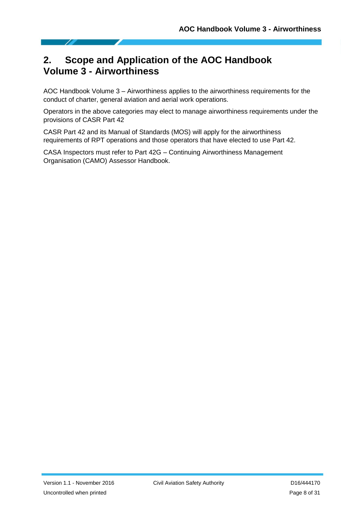# <span id="page-7-0"></span>**2. Scope and Application of the AOC Handbook Volume 3 - Airworthiness**

AOC Handbook Volume 3 – Airworthiness applies to the airworthiness requirements for the conduct of charter, general aviation and aerial work operations.

Operators in the above categories may elect to manage airworthiness requirements under the provisions of CASR Part 42

CASR Part 42 and its Manual of Standards (MOS) will apply for the airworthiness requirements of RPT operations and those operators that have elected to use Part 42.

CASA Inspectors must refer to Part 42G – Continuing Airworthiness Management Organisation (CAMO) Assessor Handbook.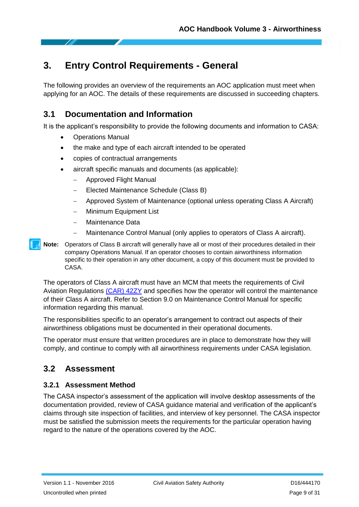# <span id="page-8-0"></span>**3. Entry Control Requirements - General**

The following provides an overview of the requirements an AOC application must meet when applying for an AOC. The details of these requirements are discussed in succeeding chapters.

### <span id="page-8-1"></span>**3.1 Documentation and Information**

It is the applicant's responsibility to provide the following documents and information to CASA:

- Operations Manual
- the make and type of each aircraft intended to be operated
- copies of contractual arrangements
- aircraft specific manuals and documents (as applicable):
	- Approved Flight Manual
	- Elected Maintenance Schedule (Class B)
	- Approved System of Maintenance (optional unless operating Class A Aircraft)
	- Minimum Equipment List
	- Maintenance Data
	- Maintenance Control Manual (only applies to operators of Class A aircraft).
- **Note:** Operators of Class B aircraft will generally have all or most of their procedures detailed in their company Operations Manual. If an operator chooses to contain airworthiness information specific to their operation in any other document, a copy of this document must be provided to CASA.

The operators of Class A aircraft must have an MCM that meets the requirements of Civil Aviation Regulations [\(CAR\)](https://www.legislation.gov.au/Series/F1997B00935) 42ZY and specifies how the operator will control the maintenance of their Class A aircraft. Refer to Section 9.0 on Maintenance Control Manual for specific information regarding this manual.

The responsibilities specific to an operator's arrangement to contract out aspects of their airworthiness obligations must be documented in their operational documents.

The operator must ensure that written procedures are in place to demonstrate how they will comply, and continue to comply with all airworthiness requirements under CASA legislation.

### <span id="page-8-2"></span>**3.2 Assessment**

#### **3.2.1 Assessment Method**

The CASA inspector's assessment of the application will involve desktop assessments of the documentation provided, review of CASA guidance material and verification of the applicant's claims through site inspection of facilities, and interview of key personnel. The CASA inspector must be satisfied the submission meets the requirements for the particular operation having regard to the nature of the operations covered by the AOC.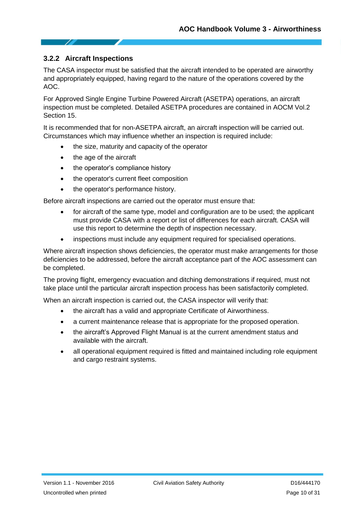#### **3.2.2 Aircraft Inspections**

The CASA inspector must be satisfied that the aircraft intended to be operated are airworthy and appropriately equipped, having regard to the nature of the operations covered by the AOC.

For Approved Single Engine Turbine Powered Aircraft (ASETPA) operations, an aircraft inspection must be completed. Detailed ASETPA procedures are contained in AOCM Vol.2 Section 15.

It is recommended that for non-ASETPA aircraft, an aircraft inspection will be carried out. Circumstances which may influence whether an inspection is required include:

- the size, maturity and capacity of the operator
- the age of the aircraft
- the operator's compliance history
- the operator's current fleet composition
- the operator's performance history.

Before aircraft inspections are carried out the operator must ensure that:

- for aircraft of the same type, model and configuration are to be used; the applicant must provide CASA with a report or list of differences for each aircraft. CASA will use this report to determine the depth of inspection necessary.
- inspections must include any equipment required for specialised operations.

Where aircraft inspection shows deficiencies, the operator must make arrangements for those deficiencies to be addressed, before the aircraft acceptance part of the AOC assessment can be completed.

The proving flight, emergency evacuation and ditching demonstrations if required, must not take place until the particular aircraft inspection process has been satisfactorily completed.

When an aircraft inspection is carried out, the CASA inspector will verify that:

- the aircraft has a valid and appropriate Certificate of Airworthiness.
- a current maintenance release that is appropriate for the proposed operation.
- the aircraft's Approved Flight Manual is at the current amendment status and available with the aircraft.
- all operational equipment required is fitted and maintained including role equipment and cargo restraint systems.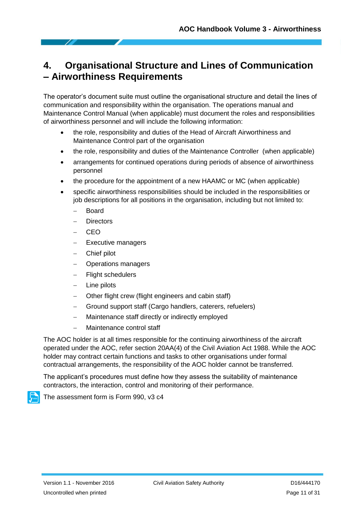# <span id="page-10-0"></span>**4. Organisational Structure and Lines of Communication – Airworthiness Requirements**

The operator's document suite must outline the organisational structure and detail the lines of communication and responsibility within the organisation. The operations manual and Maintenance Control Manual (when applicable) must document the roles and responsibilities of airworthiness personnel and will include the following information:

- the role, responsibility and duties of the Head of Aircraft Airworthiness and Maintenance Control part of the organisation
- the role, responsibility and duties of the Maintenance Controller (when applicable)
- arrangements for continued operations during periods of absence of airworthiness personnel
- the procedure for the appointment of a new HAAMC or MC (when applicable)
- specific airworthiness responsibilities should be included in the responsibilities or job descriptions for all positions in the organisation, including but not limited to:
	- Board
	- **Directors**
	- CEO
	- Executive managers
	- Chief pilot
	- Operations managers
	- Flight schedulers
	- Line pilots
	- Other flight crew (flight engineers and cabin staff)
	- Ground support staff (Cargo handlers, caterers, refuelers)
	- Maintenance staff directly or indirectly employed
	- Maintenance control staff

The AOC holder is at all times responsible for the continuing airworthiness of the aircraft operated under the AOC, refer section 20AA(4) of the Civil Aviation Act 1988. While the AOC holder may contract certain functions and tasks to other organisations under formal contractual arrangements, the responsibility of the AOC holder cannot be transferred.

The applicant's procedures must define how they assess the suitability of maintenance contractors, the interaction, control and monitoring of their performance.



The assessment form is Form 990, v3 c4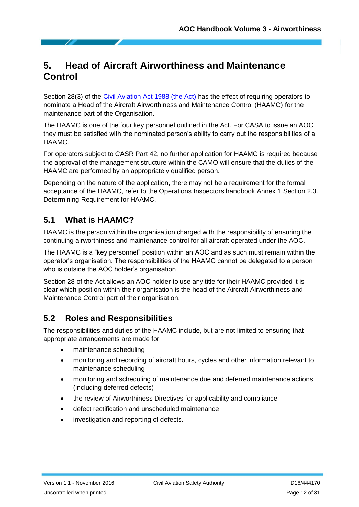# <span id="page-11-0"></span>**5. Head of Aircraft Airworthiness and Maintenance Control**

Section 28(3) of the [Civil Aviation Act 1988 \(the Act\)](https://www.legislation.gov.au/Details/C2012C00006/Html/Text) has the effect of requiring operators to nominate a Head of the Aircraft Airworthiness and Maintenance Control (HAAMC) for the maintenance part of the Organisation.

The HAAMC is one of the four key personnel outlined in the Act. For CASA to issue an AOC they must be satisfied with the nominated person's ability to carry out the responsibilities of a HAAMC.

For operators subject to CASR Part 42, no further application for HAAMC is required because the approval of the management structure within the CAMO will ensure that the duties of the HAAMC are performed by an appropriately qualified person.

Depending on the nature of the application, there may not be a requirement for the formal acceptance of the HAAMC, refer to the Operations Inspectors handbook Annex 1 Section 2.3. Determining Requirement for HAAMC.

# <span id="page-11-1"></span>**5.1 What is HAAMC?**

HAAMC is the person within the organisation charged with the responsibility of ensuring the continuing airworthiness and maintenance control for all aircraft operated under the AOC.

The HAAMC is a "key personnel" position within an AOC and as such must remain within the operator's organisation. The responsibilities of the HAAMC cannot be delegated to a person who is outside the AOC holder's organisation.

Section 28 of the Act allows an AOC holder to use any title for their HAAMC provided it is clear which position within their organisation is the head of the Aircraft Airworthiness and Maintenance Control part of their organisation.

# <span id="page-11-2"></span>**5.2 Roles and Responsibilities**

The responsibilities and duties of the HAAMC include, but are not limited to ensuring that appropriate arrangements are made for:

- maintenance scheduling
- monitoring and recording of aircraft hours, cycles and other information relevant to maintenance scheduling
- monitoring and scheduling of maintenance due and deferred maintenance actions (including deferred defects)
- the review of Airworthiness Directives for applicability and compliance
- defect rectification and unscheduled maintenance
- investigation and reporting of defects.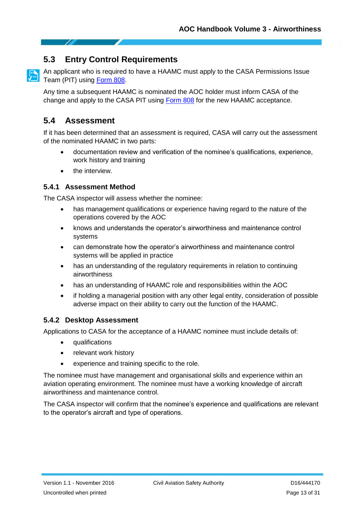### <span id="page-12-0"></span>**5.3 Entry Control Requirements**

An applicant who is required to have a HAAMC must apply to the CASA Permissions Issue Team (PIT) using [Form 808.](https://www.casa.gov.au/files/form808pdf)

Any time a subsequent HAAMC is nominated the AOC holder must inform CASA of the change and apply to the CASA PIT using [Form 808](https://www.casa.gov.au/files/form808pdf) for the new HAAMC acceptance.

#### <span id="page-12-1"></span>**5.4 Assessment**

If it has been determined that an assessment is required, CASA will carry out the assessment of the nominated HAAMC in two parts:

- documentation review and verification of the nominee's qualifications, experience, work history and training
- the interview.

#### **5.4.1 Assessment Method**

The CASA inspector will assess whether the nominee:

- has management qualifications or experience having regard to the nature of the operations covered by the AOC
- knows and understands the operator's airworthiness and maintenance control systems
- can demonstrate how the operator's airworthiness and maintenance control systems will be applied in practice
- has an understanding of the regulatory requirements in relation to continuing airworthiness
- has an understanding of HAAMC role and responsibilities within the AOC
- if holding a managerial position with any other legal entity, consideration of possible adverse impact on their ability to carry out the function of the HAAMC.

#### **5.4.2 Desktop Assessment**

Applications to CASA for the acceptance of a HAAMC nominee must include details of:

- qualifications
- relevant work history
- experience and training specific to the role.

The nominee must have management and organisational skills and experience within an aviation operating environment. The nominee must have a working knowledge of aircraft airworthiness and maintenance control.

The CASA inspector will confirm that the nominee's experience and qualifications are relevant to the operator's aircraft and type of operations.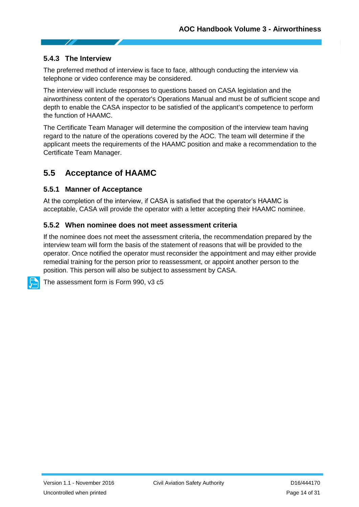#### **5.4.3 The Interview**

The preferred method of interview is face to face, although conducting the interview via telephone or video conference may be considered.

The interview will include responses to questions based on CASA legislation and the airworthiness content of the operator's Operations Manual and must be of sufficient scope and depth to enable the CASA inspector to be satisfied of the applicant's competence to perform the function of HAAMC.

The Certificate Team Manager will determine the composition of the interview team having regard to the nature of the operations covered by the AOC. The team will determine if the applicant meets the requirements of the HAAMC position and make a recommendation to the Certificate Team Manager.

#### <span id="page-13-0"></span>**5.5 Acceptance of HAAMC**

#### **5.5.1 Manner of Acceptance**

At the completion of the interview, if CASA is satisfied that the operator's HAAMC is acceptable, CASA will provide the operator with a letter accepting their HAAMC nominee.

#### **5.5.2 When nominee does not meet assessment criteria**

If the nominee does not meet the assessment criteria, the recommendation prepared by the interview team will form the basis of the statement of reasons that will be provided to the operator. Once notified the operator must reconsider the appointment and may either provide remedial training for the person prior to reassessment, or appoint another person to the position. This person will also be subject to assessment by CASA.

The assessment form is Form 990, v3 c5

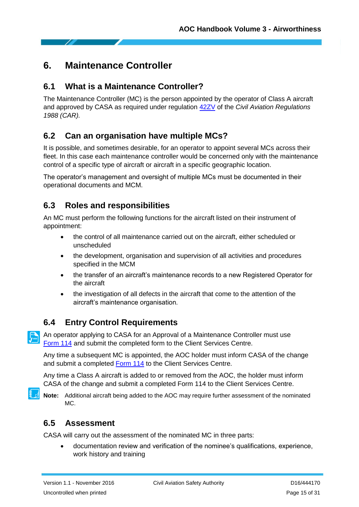# <span id="page-14-0"></span>**6. Maintenance Controller**

### <span id="page-14-1"></span>**6.1 What is a Maintenance Controller?**

The Maintenance Controller (MC) is the person appointed by the operator of Class A aircraft and approved by CASA as required under regulation [42ZV](https://www.legislation.gov.au/Series/F1997B00935) of the *Civil Aviation Regulations 1988 (CAR).*

### <span id="page-14-2"></span>**6.2 Can an organisation have multiple MCs?**

It is possible, and sometimes desirable, for an operator to appoint several MCs across their fleet. In this case each maintenance controller would be concerned only with the maintenance control of a specific type of aircraft or aircraft in a specific geographic location.

The operator's management and oversight of multiple MCs must be documented in their operational documents and MCM.

## <span id="page-14-3"></span>**6.3 Roles and responsibilities**

An MC must perform the following functions for the aircraft listed on their instrument of appointment:

- the control of all maintenance carried out on the aircraft, either scheduled or unscheduled
- the development, organisation and supervision of all activities and procedures specified in the MCM
- the transfer of an aircraft's maintenance records to a new Registered Operator for the aircraft
- the investigation of all defects in the aircraft that come to the attention of the aircraft's maintenance organisation.

# <span id="page-14-4"></span>**6.4 Entry Control Requirements**

An operator applying to CASA for an Approval of a Maintenance Controller must use [Form](https://www.casa.gov.au/files/form114pdf) 114 and submit the completed form to the Client Services Centre.

Any time a subsequent MC is appointed, the AOC holder must inform CASA of the change and submit a completed [Form 114](https://www.casa.gov.au/files/form114pdf) to the Client Services Centre.

Any time a Class A aircraft is added to or removed from the AOC, the holder must inform CASA of the change and submit a completed Form 114 to the Client Services Centre.

**Note:** Additional aircraft being added to the AOC may require further assessment of the nominated MC.

### <span id="page-14-5"></span>**6.5 Assessment**

CASA will carry out the assessment of the nominated MC in three parts:

 documentation review and verification of the nominee's qualifications, experience, work history and training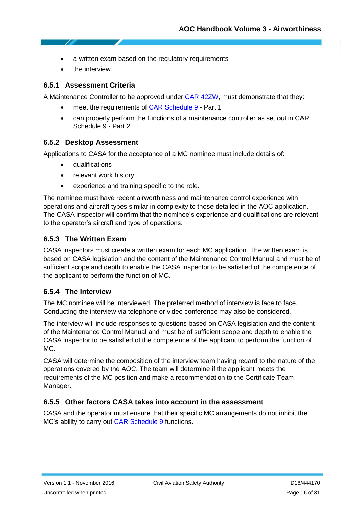- a written exam based on the regulatory requirements
- the interview.

#### **6.5.1 Assessment Criteria**

A Maintenance Controller to be approved under [CAR 42ZW,](https://www.legislation.gov.au/Series/F1997B00935) must demonstrate that they:

- meet the requirements of **CAR Schedule 9** Part 1
- can properly perform the functions of a maintenance controller as set out in CAR Schedule 9 - Part 2.

#### **6.5.2 Desktop Assessment**

Applications to CASA for the acceptance of a MC nominee must include details of:

- qualifications
- relevant work history
- experience and training specific to the role.

The nominee must have recent airworthiness and maintenance control experience with operations and aircraft types similar in complexity to those detailed in the AOC application. The CASA inspector will confirm that the nominee's experience and qualifications are relevant to the operator's aircraft and type of operations.

#### **6.5.3 The Written Exam**

CASA inspectors must create a written exam for each MC application. The written exam is based on CASA legislation and the content of the Maintenance Control Manual and must be of sufficient scope and depth to enable the CASA inspector to be satisfied of the competence of the applicant to perform the function of MC.

#### **6.5.4 The Interview**

The MC nominee will be interviewed. The preferred method of interview is face to face. Conducting the interview via telephone or video conference may also be considered.

The interview will include responses to questions based on CASA legislation and the content of the Maintenance Control Manual and must be of sufficient scope and depth to enable the CASA inspector to be satisfied of the competence of the applicant to perform the function of MC.

CASA will determine the composition of the interview team having regard to the nature of the operations covered by the AOC. The team will determine if the applicant meets the requirements of the MC position and make a recommendation to the Certificate Team Manager.

#### **6.5.5 Other factors CASA takes into account in the assessment**

CASA and the operator must ensure that their specific MC arrangements do not inhibit the MC's ability to carry out [CAR Schedule 9](https://www.legislation.gov.au/Series/F1997B00935) functions.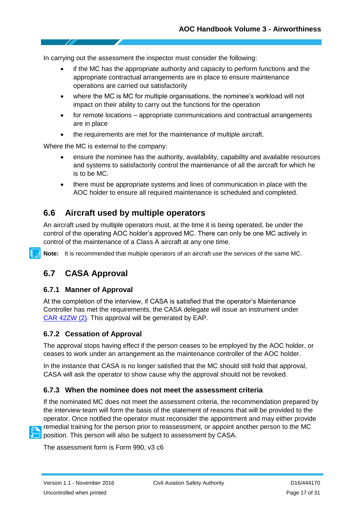In carrying out the assessment the inspector must consider the following:

- if the MC has the appropriate authority and capacity to perform functions and the appropriate contractual arrangements are in place to ensure maintenance operations are carried out satisfactorily
- where the MC is MC for multiple organisations, the nominee's workload will not impact on their ability to carry out the functions for the operation
- for remote locations appropriate communications and contractual arrangements are in place
- the requirements are met for the maintenance of multiple aircraft.

Where the MC is external to the company:

- ensure the nominee has the authority, availability, capability and available resources and systems to satisfactorily control the maintenance of all the aircraft for which he is to be MC.
- there must be appropriate systems and lines of communication in place with the AOC holder to ensure all required maintenance is scheduled and completed.

#### <span id="page-16-0"></span>**6.6 Aircraft used by multiple operators**

An aircraft used by multiple operators must, at the time it is being operated, be under the control of the operating AOC holder's approved MC. There can only be one MC actively in control of the maintenance of a Class A aircraft at any one time.

**Note:** It is recommended that multiple operators of an aircraft use the services of the same MC.

#### <span id="page-16-1"></span>**6.7 CASA Approval**

#### **6.7.1 Manner of Approval**

At the completion of the interview, if CASA is satisfied that the operator's Maintenance Controller has met the requirements, the CASA delegate will issue an instrument under CAR [42ZW](https://www.legislation.gov.au/Details/F2016C00872/Html/Volume_3) (2). This approval will be generated by EAP.

#### **6.7.2 Cessation of Approval**

The approval stops having effect if the person ceases to be employed by the AOC holder, or ceases to work under an arrangement as the maintenance controller of the AOC holder.

In the instance that CASA is no longer satisfied that the MC should still hold that approval, CASA will ask the operator to show cause why the approval should not be revoked.

#### **6.7.3 When the nominee does not meet the assessment criteria**

If the nominated MC does not meet the assessment criteria, the recommendation prepared by the interview team will form the basis of the statement of reasons that will be provided to the operator. Once notified the operator must reconsider the appointment and may either provide remedial training for the person prior to reassessment, or appoint another person to the MC position. This person will also be subject to assessment by CASA.

The assessment form is Form 990, v3 c6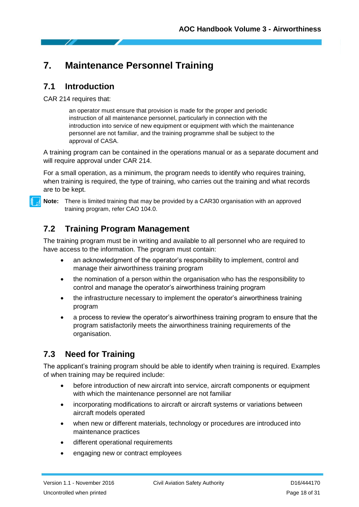# <span id="page-17-0"></span>**7. Maintenance Personnel Training**

#### <span id="page-17-1"></span>**7.1 Introduction**

CAR 214 requires that:

an operator must ensure that provision is made for the proper and periodic instruction of all maintenance personnel, particularly in connection with the introduction into service of new equipment or equipment with which the maintenance personnel are not familiar, and the training programme shall be subject to the approval of CASA.

A training program can be contained in the operations manual or as a separate document and will require approval under CAR 214.

For a small operation, as a minimum, the program needs to identify who requires training, when training is required, the type of training, who carries out the training and what records are to be kept.



**Note:** There is limited training that may be provided by a CAR30 organisation with an approved training program, refer CAO 104.0.

## <span id="page-17-2"></span>**7.2 Training Program Management**

The training program must be in writing and available to all personnel who are required to have access to the information. The program must contain:

- an acknowledgment of the operator's responsibility to implement, control and manage their airworthiness training program
- the nomination of a person within the organisation who has the responsibility to control and manage the operator's airworthiness training program
- the infrastructure necessary to implement the operator's airworthiness training program
- a process to review the operator's airworthiness training program to ensure that the program satisfactorily meets the airworthiness training requirements of the organisation.

### <span id="page-17-3"></span>**7.3 Need for Training**

The applicant's training program should be able to identify when training is required. Examples of when training may be required include:

- before introduction of new aircraft into service, aircraft components or equipment with which the maintenance personnel are not familiar
- incorporating modifications to aircraft or aircraft systems or variations between aircraft models operated
- when new or different materials, technology or procedures are introduced into maintenance practices
- different operational requirements
- engaging new or contract employees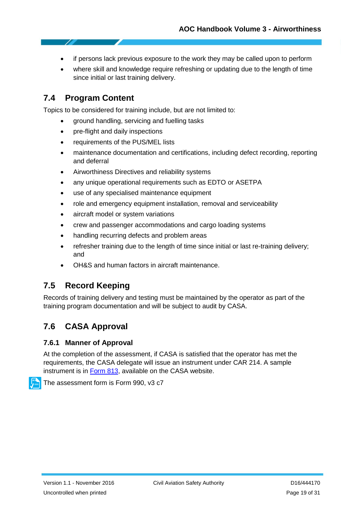- if persons lack previous exposure to the work they may be called upon to perform
- where skill and knowledge require refreshing or updating due to the length of time since initial or last training delivery.

### <span id="page-18-0"></span>**7.4 Program Content**

Topics to be considered for training include, but are not limited to:

- ground handling, servicing and fuelling tasks
- pre-flight and daily inspections
- requirements of the PUS/MEL lists
- maintenance documentation and certifications, including defect recording, reporting and deferral
- Airworthiness Directives and reliability systems
- any unique operational requirements such as EDTO or ASETPA
- use of any specialised maintenance equipment
- role and emergency equipment installation, removal and serviceability
- aircraft model or system variations
- crew and passenger accommodations and cargo loading systems
- handling recurring defects and problem areas
- refresher training due to the length of time since initial or last re-training delivery; and
- OH&S and human factors in aircraft maintenance.

#### <span id="page-18-1"></span>**7.5 Record Keeping**

Records of training delivery and testing must be maintained by the operator as part of the training program documentation and will be subject to audit by CASA.

### <span id="page-18-2"></span>**7.6 CASA Approval**

#### **7.6.1 Manner of Approval**

At the completion of the assessment, if CASA is satisfied that the operator has met the requirements, the CASA delegate will issue an instrument under CAR 214. A sample instrument is in [Form 813,](https://www.casa.gov.au/files/form813pdf) available on the CASA website.

The assessment form is Form 990, v3 c7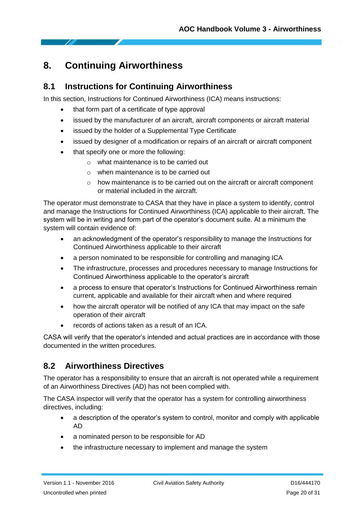# <span id="page-19-0"></span>**8. Continuing Airworthiness**

### <span id="page-19-1"></span>**8.1 Instructions for Continuing Airworthiness**

In this section, Instructions for Continued Airworthiness (ICA) means instructions:

- that form part of a certificate of type approval
- issued by the manufacturer of an aircraft, aircraft components or aircraft material
- issued by the holder of a Supplemental Type Certificate
- issued by designer of a modification or repairs of an aircraft or aircraft component
- that specify one or more the following:
	- o what maintenance is to be carried out
	- o when maintenance is to be carried out
	- $\circ$  how maintenance is to be carried out on the aircraft or aircraft component or material included in the aircraft.

The operator must demonstrate to CASA that they have in place a system to identify, control and manage the Instructions for Continued Airworthiness (ICA) applicable to their aircraft. The system will be in writing and form part of the operator's document suite. At a minimum the system will contain evidence of:

- an acknowledgment of the operator's responsibility to manage the Instructions for Continued Airworthiness applicable to their aircraft
- a person nominated to be responsible for controlling and managing ICA
- The infrastructure, processes and procedures necessary to manage Instructions for Continued Airworthiness applicable to the operator's aircraft
- a process to ensure that operator's Instructions for Continued Airworthiness remain current, applicable and available for their aircraft when and where required
- how the aircraft operator will be notified of any ICA that may impact on the safe operation of their aircraft
- records of actions taken as a result of an ICA.

CASA will verify that the operator's intended and actual practices are in accordance with those documented in the written procedures.

### <span id="page-19-2"></span>**8.2 Airworthiness Directives**

The operator has a responsibility to ensure that an aircraft is not operated while a requirement of an Airworthiness Directives (AD) has not been complied with.

The CASA inspector will verify that the operator has a system for controlling airworthiness directives, including:

- a description of the operator's system to control, monitor and comply with applicable AD
- a nominated person to be responsible for AD
- the infrastructure necessary to implement and manage the system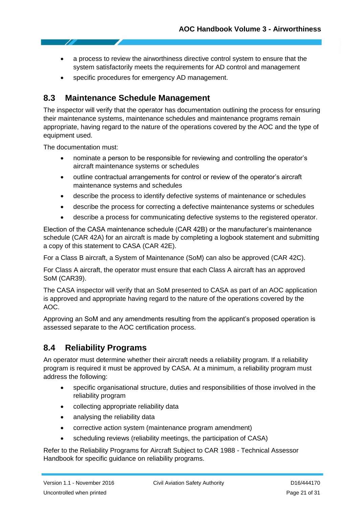- a process to review the airworthiness directive control system to ensure that the system satisfactorily meets the requirements for AD control and management
- specific procedures for emergency AD management.

#### <span id="page-20-0"></span>**8.3 Maintenance Schedule Management**

The inspector will verify that the operator has documentation outlining the process for ensuring their maintenance systems, maintenance schedules and maintenance programs remain appropriate, having regard to the nature of the operations covered by the AOC and the type of equipment used.

The documentation must:

- nominate a person to be responsible for reviewing and controlling the operator's aircraft maintenance systems or schedules
- outline contractual arrangements for control or review of the operator's aircraft maintenance systems and schedules
- describe the process to identify defective systems of maintenance or schedules
- describe the process for correcting a defective maintenance systems or schedules
- describe a process for communicating defective systems to the registered operator.

Election of the CASA maintenance schedule (CAR 42B) or the manufacturer's maintenance schedule (CAR 42A) for an aircraft is made by completing a logbook statement and submitting a copy of this statement to CASA (CAR 42E).

For a Class B aircraft, a System of Maintenance (SoM) can also be approved (CAR 42C).

For Class A aircraft, the operator must ensure that each Class A aircraft has an approved SoM (CAR39).

The CASA inspector will verify that an SoM presented to CASA as part of an AOC application is approved and appropriate having regard to the nature of the operations covered by the AOC.

Approving an SoM and any amendments resulting from the applicant's proposed operation is assessed separate to the AOC certification process.

#### <span id="page-20-1"></span>**8.4 Reliability Programs**

An operator must determine whether their aircraft needs a reliability program. If a reliability program is required it must be approved by CASA. At a minimum, a reliability program must address the following:

- specific organisational structure, duties and responsibilities of those involved in the reliability program
- collecting appropriate reliability data
- analysing the reliability data
- corrective action system (maintenance program amendment)
- scheduling reviews (reliability meetings, the participation of CASA)

Refer to the Reliability Programs for Aircraft Subject to CAR 1988 - Technical Assessor Handbook for specific guidance on reliability programs.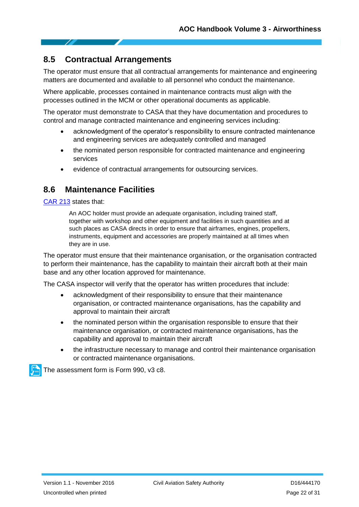### <span id="page-21-0"></span>**8.5 Contractual Arrangements**

The operator must ensure that all contractual arrangements for maintenance and engineering matters are documented and available to all personnel who conduct the maintenance.

Where applicable, processes contained in maintenance contracts must align with the processes outlined in the MCM or other operational documents as applicable.

The operator must demonstrate to CASA that they have documentation and procedures to control and manage contracted maintenance and engineering services including:

- acknowledgment of the operator's responsibility to ensure contracted maintenance and engineering services are adequately controlled and managed
- the nominated person responsible for contracted maintenance and engineering services
- evidence of contractual arrangements for outsourcing services.

#### <span id="page-21-1"></span>**8.6 Maintenance Facilities**

[CAR 213](https://www.legislation.gov.au/Series/F1997B00935) states that:

An AOC holder must provide an adequate organisation, including trained staff, together with workshop and other equipment and facilities in such quantities and at such places as CASA directs in order to ensure that airframes, engines, propellers, instruments, equipment and accessories are properly maintained at all times when they are in use.

The operator must ensure that their maintenance organisation, or the organisation contracted to perform their maintenance, has the capability to maintain their aircraft both at their main base and any other location approved for maintenance.

The CASA inspector will verify that the operator has written procedures that include:

- acknowledgment of their responsibility to ensure that their maintenance organisation, or contracted maintenance organisations, has the capability and approval to maintain their aircraft
- the nominated person within the organisation responsible to ensure that their maintenance organisation, or contracted maintenance organisations, has the capability and approval to maintain their aircraft
- the infrastructure necessary to manage and control their maintenance organisation or contracted maintenance organisations.

The assessment form is Form 990, v3 c8.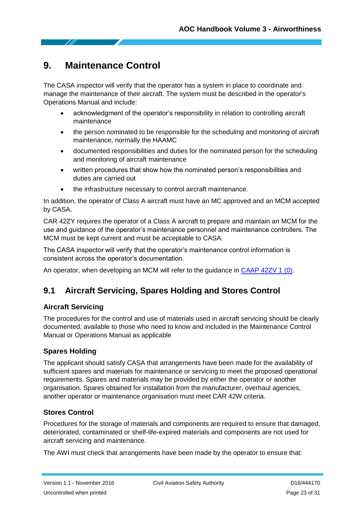# <span id="page-22-0"></span>**9. Maintenance Control**

The CASA inspector will verify that the operator has a system in place to coordinate and manage the maintenance of their aircraft. The system must be described in the operator's Operations Manual and include:

- acknowledgment of the operator's responsibility in relation to controlling aircraft maintenance
- the person nominated to be responsible for the scheduling and monitoring of aircraft maintenance, normally the HAAMC
- documented responsibilities and duties for the nominated person for the scheduling and monitoring of aircraft maintenance
- written procedures that show how the nominated person's responsibilities and duties are carried out
- the infrastructure necessary to control aircraft maintenance.

In addition, the operator of Class A aircraft must have an MC approved and an MCM accepted by CASA.

CAR 42ZY requires the operator of a Class A aircraft to prepare and maintain an MCM for the use and guidance of the operator's maintenance personnel and maintenance controllers. The MCM must be kept current and must be acceptable to CASA.

The CASA inspector will verify that the operator's maintenance control information is consistent across the operator's documentation.

An operator, when developing an MCM will refer to the guidance in [CAAP 42ZV](https://www.casa.gov.au/rules-and-regulations/standard-page/civil-aviation-advisory-publications?WCMS%3ASTANDARD%3A%3Apc=PC_91054) 1 (0).

# <span id="page-22-1"></span>**9.1 Aircraft Servicing, Spares Holding and Stores Control**

#### **Aircraft Servicing**

The procedures for the control and use of materials used in aircraft servicing should be clearly documented, available to those who need to know and included in the Maintenance Control Manual or Operations Manual as applicable

#### **Spares Holding**

The applicant should satisfy CASA that arrangements have been made for the availability of sufficient spares and materials for maintenance or servicing to meet the proposed operational requirements. Spares and materials may be provided by either the operator or another organisation. Spares obtained for installation from the manufacturer, overhaul agencies, another operator or maintenance organisation must meet CAR 42W criteria.

#### **Stores Control**

Procedures for the storage of materials and components are required to ensure that damaged, deteriorated, contaminated or shelf-life-expired materials and components are not used for aircraft servicing and maintenance.

The AWI must check that arrangements have been made by the operator to ensure that: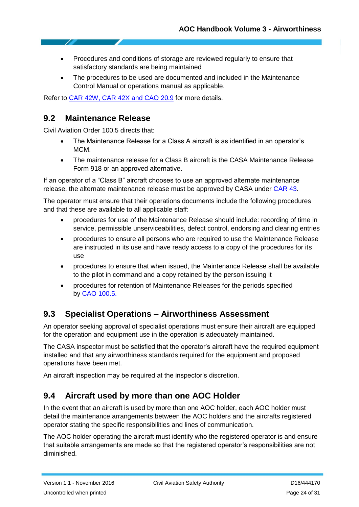- Procedures and conditions of storage are reviewed regularly to ensure that satisfactory standards are being maintained
- The procedures to be used are documented and included in the Maintenance Control Manual or operations manual as applicable.

Refer to [CAR 42W, CAR 42X](http://casaconnect/tools/legislation/index.htm) and CAO 20.9 for more details.

#### <span id="page-23-0"></span>**9.2 Maintenance Release**

Civil Aviation Order 100.5 directs that:

- The Maintenance Release for a Class A aircraft is as identified in an operator's MCM.
- The maintenance release for a Class B aircraft is the CASA Maintenance Release Form 918 or an approved alternative.

If an operator of a "Class B" aircraft chooses to use an approved alternate maintenance release, the alternate maintenance release must be approved by CASA under [CAR 43.](https://www.legislation.gov.au/Details/F2016C00872/Html/Volume_3)

The operator must ensure that their operations documents include the following procedures and that these are available to all applicable staff:

- procedures for use of the Maintenance Release should include: recording of time in service, permissible unserviceabilities, defect control, endorsing and clearing entries
- procedures to ensure all persons who are required to use the Maintenance Release are instructed in its use and have ready access to a copy of the procedures for its use
- procedures to ensure that when issued, the Maintenance Release shall be available to the pilot in command and a copy retained by the person issuing it
- procedures for retention of Maintenance Releases for the periods specified by CAO [100.5.](http://casa.gov.au/)

### <span id="page-23-1"></span>**9.3 Specialist Operations – Airworthiness Assessment**

An operator seeking approval of specialist operations must ensure their aircraft are equipped for the operation and equipment use in the operation is adequately maintained.

The CASA inspector must be satisfied that the operator's aircraft have the required equipment installed and that any airworthiness standards required for the equipment and proposed operations have been met.

An aircraft inspection may be required at the inspector's discretion.

### <span id="page-23-2"></span>**9.4 Aircraft used by more than one AOC Holder**

In the event that an aircraft is used by more than one AOC holder, each AOC holder must detail the maintenance arrangements between the AOC holders and the aircrafts registered operator stating the specific responsibilities and lines of communication.

The AOC holder operating the aircraft must identify who the registered operator is and ensure that suitable arrangements are made so that the registered operator's responsibilities are not diminished.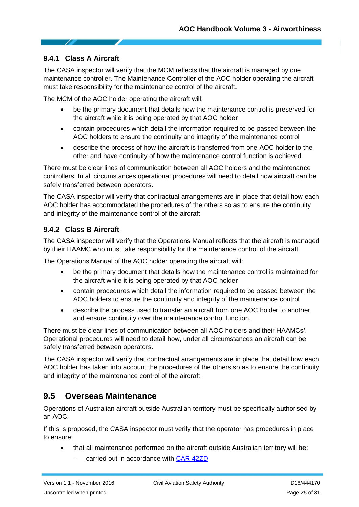#### **9.4.1 Class A Aircraft**

The CASA inspector will verify that the MCM reflects that the aircraft is managed by one maintenance controller. The Maintenance Controller of the AOC holder operating the aircraft must take responsibility for the maintenance control of the aircraft.

The MCM of the AOC holder operating the aircraft will:

- be the primary document that details how the maintenance control is preserved for the aircraft while it is being operated by that AOC holder
- contain procedures which detail the information required to be passed between the AOC holders to ensure the continuity and integrity of the maintenance control
- describe the process of how the aircraft is transferred from one AOC holder to the other and have continuity of how the maintenance control function is achieved.

There must be clear lines of communication between all AOC holders and the maintenance controllers. In all circumstances operational procedures will need to detail how aircraft can be safely transferred between operators.

The CASA inspector will verify that contractual arrangements are in place that detail how each AOC holder has accommodated the procedures of the others so as to ensure the continuity and integrity of the maintenance control of the aircraft.

#### **9.4.2 Class B Aircraft**

The CASA inspector will verify that the Operations Manual reflects that the aircraft is managed by their HAAMC who must take responsibility for the maintenance control of the aircraft.

The Operations Manual of the AOC holder operating the aircraft will:

- be the primary document that details how the maintenance control is maintained for the aircraft while it is being operated by that AOC holder
- contain procedures which detail the information required to be passed between the AOC holders to ensure the continuity and integrity of the maintenance control
- describe the process used to transfer an aircraft from one AOC holder to another and ensure continuity over the maintenance control function.

There must be clear lines of communication between all AOC holders and their HAAMCs'. Operational procedures will need to detail how, under all circumstances an aircraft can be safely transferred between operators.

The CASA inspector will verify that contractual arrangements are in place that detail how each AOC holder has taken into account the procedures of the others so as to ensure the continuity and integrity of the maintenance control of the aircraft.

#### <span id="page-24-0"></span>**9.5 Overseas Maintenance**

Operations of Australian aircraft outside Australian territory must be specifically authorised by an AOC.

If this is proposed, the CASA inspector must verify that the operator has procedures in place to ensure:

- that all maintenance performed on the aircraft outside Australian territory will be:
	- carried out in accordance with [CAR 42ZD](https://www.legislation.gov.au/Details/F2016C00872/Html/Volume_3)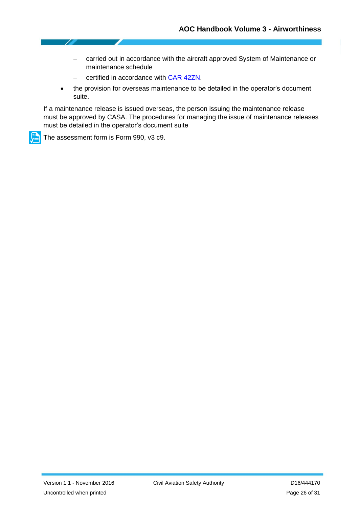- carried out in accordance with the aircraft approved System of Maintenance or maintenance schedule
- certified in accordance with [CAR 42ZN.](https://www.legislation.gov.au/Details/F2016C00872/Html/Volume_3)
- the provision for overseas maintenance to be detailed in the operator's document suite.

If a maintenance release is issued overseas, the person issuing the maintenance release must be approved by CASA. The procedures for managing the issue of maintenance releases must be detailed in the operator's document suite

The assessment form is Form 990, v3 c9.

<u>lje</u>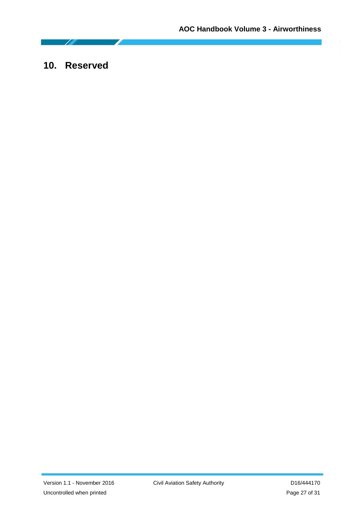# <span id="page-26-0"></span>**10. Reserved**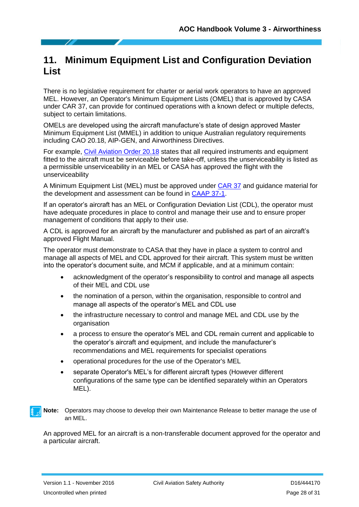# <span id="page-27-0"></span>**11. Minimum Equipment List and Configuration Deviation List**

There is no legislative requirement for charter or aerial work operators to have an approved MEL. However, an Operator's Minimum Equipment Lists (OMEL) that is approved by CASA under CAR 37, can provide for continued operations with a known defect or multiple defects, subject to certain limitations.

OMELs are developed using the aircraft manufacture's state of design approved Master Minimum Equipment List (MMEL) in addition to unique Australian regulatory requirements including CAO 20.18, AIP-GEN, and Airworthiness Directives.

For example, [Civil Aviation Order 20.18](https://www.legislation.gov.au/Browse/Results/ByTitle/LegislativeInstruments/InForce/Ci/37/civil%20aviation%20order%2020/Principal) states that all required instruments and equipment fitted to the aircraft must be serviceable before take-off, unless the unserviceability is listed as a permissible unserviceability in an MEL or CASA has approved the flight with the unserviceability

A Minimum Equipment List (MEL) must be approved under [CAR 37](https://www.legislation.gov.au/Details/F2016C00872/Html/Volume_3) and guidance material for the development and assessment can be found in [CAAP 37-1.](https://www.casa.gov.au/rules-and-regulations/standard-page/civil-aviation-advisory-publications?WCMS%3ASTANDARD%3A%3Apc=PC_91054)

If an operator's aircraft has an MEL or Configuration Deviation List (CDL), the operator must have adequate procedures in place to control and manage their use and to ensure proper management of conditions that apply to their use.

A CDL is approved for an aircraft by the manufacturer and published as part of an aircraft's approved Flight Manual.

The operator must demonstrate to CASA that they have in place a system to control and manage all aspects of MEL and CDL approved for their aircraft. This system must be written into the operator's document suite, and MCM if applicable, and at a minimum contain:

- acknowledgment of the operator's responsibility to control and manage all aspects of their MEL and CDL use
- the nomination of a person, within the organisation, responsible to control and manage all aspects of the operator's MEL and CDL use
- the infrastructure necessary to control and manage MEL and CDL use by the organisation
- a process to ensure the operator's MEL and CDL remain current and applicable to the operator's aircraft and equipment, and include the manufacturer's recommendations and MEL requirements for specialist operations
- operational procedures for the use of the Operator's MEL
- separate Operator's MEL's for different aircraft types (However different configurations of the same type can be identified separately within an Operators MEL).



An approved MEL for an aircraft is a non-transferable document approved for the operator and a particular aircraft.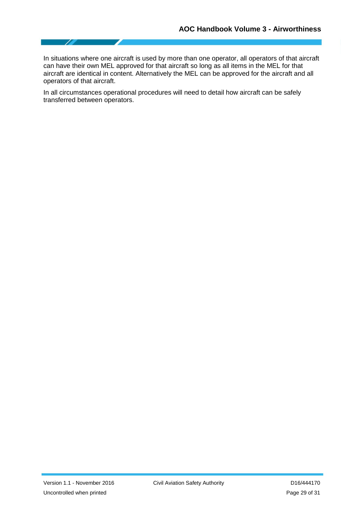In situations where one aircraft is used by more than one operator, all operators of that aircraft can have their own MEL approved for that aircraft so long as all items in the MEL for that aircraft are identical in content. Alternatively the MEL can be approved for the aircraft and all operators of that aircraft.

In all circumstances operational procedures will need to detail how aircraft can be safely transferred between operators.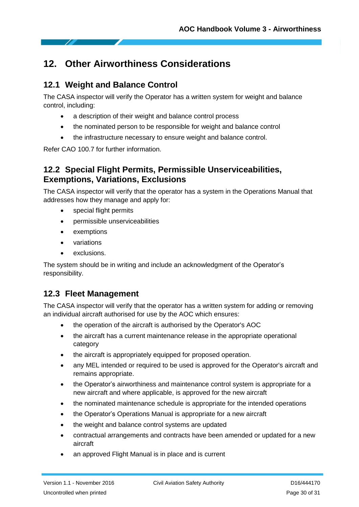# <span id="page-29-0"></span>**12. Other Airworthiness Considerations**

# <span id="page-29-1"></span>**12.1 Weight and Balance Control**

The CASA inspector will verify the Operator has a written system for weight and balance control, including:

- a description of their weight and balance control process
- the nominated person to be responsible for weight and balance control
- the infrastructure necessary to ensure weight and balance control.

Refer CAO 100.7 for further information.

## <span id="page-29-2"></span>**12.2 Special Flight Permits, Permissible Unserviceabilities, Exemptions, Variations, Exclusions**

The CASA inspector will verify that the operator has a system in the Operations Manual that addresses how they manage and apply for:

- special flight permits
- permissible unserviceabilities
- exemptions
- variations
- exclusions.

The system should be in writing and include an acknowledgment of the Operator's responsibility.

# <span id="page-29-3"></span>**12.3 Fleet Management**

The CASA inspector will verify that the operator has a written system for adding or removing an individual aircraft authorised for use by the AOC which ensures:

- the operation of the aircraft is authorised by the Operator's AOC
- the aircraft has a current maintenance release in the appropriate operational category
- the aircraft is appropriately equipped for proposed operation.
- any MEL intended or required to be used is approved for the Operator's aircraft and remains appropriate.
- the Operator's airworthiness and maintenance control system is appropriate for a new aircraft and where applicable, is approved for the new aircraft
- the nominated maintenance schedule is appropriate for the intended operations
- the Operator's Operations Manual is appropriate for a new aircraft
- the weight and balance control systems are updated
- contractual arrangements and contracts have been amended or updated for a new aircraft
- an approved Flight Manual is in place and is current